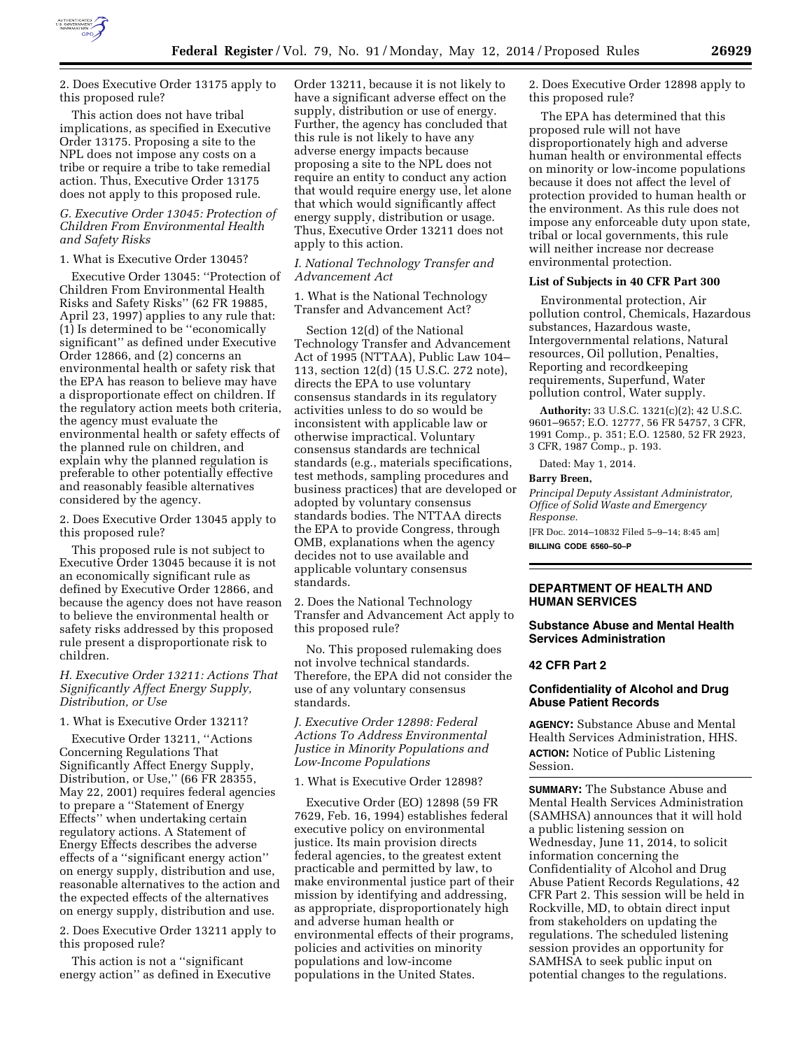

2. Does Executive Order 13175 apply to this proposed rule?

This action does not have tribal implications, as specified in Executive Order 13175. Proposing a site to the NPL does not impose any costs on a tribe or require a tribe to take remedial action. Thus, Executive Order 13175 does not apply to this proposed rule.

## *G. Executive Order 13045: Protection of Children From Environmental Health and Safety Risks*

## 1. What is Executive Order 13045?

Executive Order 13045: ''Protection of Children From Environmental Health Risks and Safety Risks'' (62 FR 19885, April 23, 1997) applies to any rule that: (1) Is determined to be ''economically significant'' as defined under Executive Order 12866, and (2) concerns an environmental health or safety risk that the EPA has reason to believe may have a disproportionate effect on children. If the regulatory action meets both criteria, the agency must evaluate the environmental health or safety effects of the planned rule on children, and explain why the planned regulation is preferable to other potentially effective and reasonably feasible alternatives considered by the agency.

2. Does Executive Order 13045 apply to this proposed rule?

This proposed rule is not subject to Executive Order 13045 because it is not an economically significant rule as defined by Executive Order 12866, and because the agency does not have reason to believe the environmental health or safety risks addressed by this proposed rule present a disproportionate risk to children.

## *H. Executive Order 13211: Actions That Significantly Affect Energy Supply, Distribution, or Use*

# 1. What is Executive Order 13211?

Executive Order 13211, ''Actions Concerning Regulations That Significantly Affect Energy Supply, Distribution, or Use,'' (66 FR 28355, May 22, 2001) requires federal agencies to prepare a ''Statement of Energy Effects'' when undertaking certain regulatory actions. A Statement of Energy Effects describes the adverse effects of a ''significant energy action'' on energy supply, distribution and use, reasonable alternatives to the action and the expected effects of the alternatives on energy supply, distribution and use.

2. Does Executive Order 13211 apply to this proposed rule?

This action is not a ''significant energy action'' as defined in Executive Order 13211, because it is not likely to have a significant adverse effect on the supply, distribution or use of energy. Further, the agency has concluded that this rule is not likely to have any adverse energy impacts because proposing a site to the NPL does not require an entity to conduct any action that would require energy use, let alone that which would significantly affect energy supply, distribution or usage. Thus, Executive Order 13211 does not apply to this action.

## *I. National Technology Transfer and Advancement Act*

1. What is the National Technology Transfer and Advancement Act?

Section 12(d) of the National Technology Transfer and Advancement Act of 1995 (NTTAA), Public Law 104– 113, section 12(d) (15 U.S.C. 272 note), directs the EPA to use voluntary consensus standards in its regulatory activities unless to do so would be inconsistent with applicable law or otherwise impractical. Voluntary consensus standards are technical standards (e.g., materials specifications, test methods, sampling procedures and business practices) that are developed or adopted by voluntary consensus standards bodies. The NTTAA directs the EPA to provide Congress, through OMB, explanations when the agency decides not to use available and applicable voluntary consensus standards.

2. Does the National Technology Transfer and Advancement Act apply to this proposed rule?

No. This proposed rulemaking does not involve technical standards. Therefore, the EPA did not consider the use of any voluntary consensus standards.

*J. Executive Order 12898: Federal Actions To Address Environmental Justice in Minority Populations and Low-Income Populations* 

1. What is Executive Order 12898?

Executive Order (EO) 12898 (59 FR 7629, Feb. 16, 1994) establishes federal executive policy on environmental justice. Its main provision directs federal agencies, to the greatest extent practicable and permitted by law, to make environmental justice part of their mission by identifying and addressing, as appropriate, disproportionately high and adverse human health or environmental effects of their programs, policies and activities on minority populations and low-income populations in the United States.

2. Does Executive Order 12898 apply to this proposed rule?

The EPA has determined that this proposed rule will not have disproportionately high and adverse human health or environmental effects on minority or low-income populations because it does not affect the level of protection provided to human health or the environment. As this rule does not impose any enforceable duty upon state, tribal or local governments, this rule will neither increase nor decrease environmental protection.

#### **List of Subjects in 40 CFR Part 300**

Environmental protection, Air pollution control, Chemicals, Hazardous substances, Hazardous waste, Intergovernmental relations, Natural resources, Oil pollution, Penalties, Reporting and recordkeeping requirements, Superfund, Water pollution control, Water supply.

**Authority:** 33 U.S.C. 1321(c)(2); 42 U.S.C. 9601–9657; E.O. 12777, 56 FR 54757, 3 CFR, 1991 Comp., p. 351; E.O. 12580, 52 FR 2923, 3 CFR, 1987 Comp., p. 193.

Dated: May 1, 2014.

# **Barry Breen,**

*Principal Deputy Assistant Administrator, Office of Solid Waste and Emergency Response.* 

[FR Doc. 2014–10832 Filed 5–9–14; 8:45 am] **BILLING CODE 6560–50–P** 

## **DEPARTMENT OF HEALTH AND HUMAN SERVICES**

# **Substance Abuse and Mental Health Services Administration**

## **42 CFR Part 2**

## **Confidentiality of Alcohol and Drug Abuse Patient Records**

**AGENCY:** Substance Abuse and Mental Health Services Administration, HHS. **ACTION:** Notice of Public Listening Session.

**SUMMARY:** The Substance Abuse and Mental Health Services Administration (SAMHSA) announces that it will hold a public listening session on Wednesday, June 11, 2014, to solicit information concerning the Confidentiality of Alcohol and Drug Abuse Patient Records Regulations, 42 CFR Part 2. This session will be held in Rockville, MD, to obtain direct input from stakeholders on updating the regulations. The scheduled listening session provides an opportunity for SAMHSA to seek public input on potential changes to the regulations.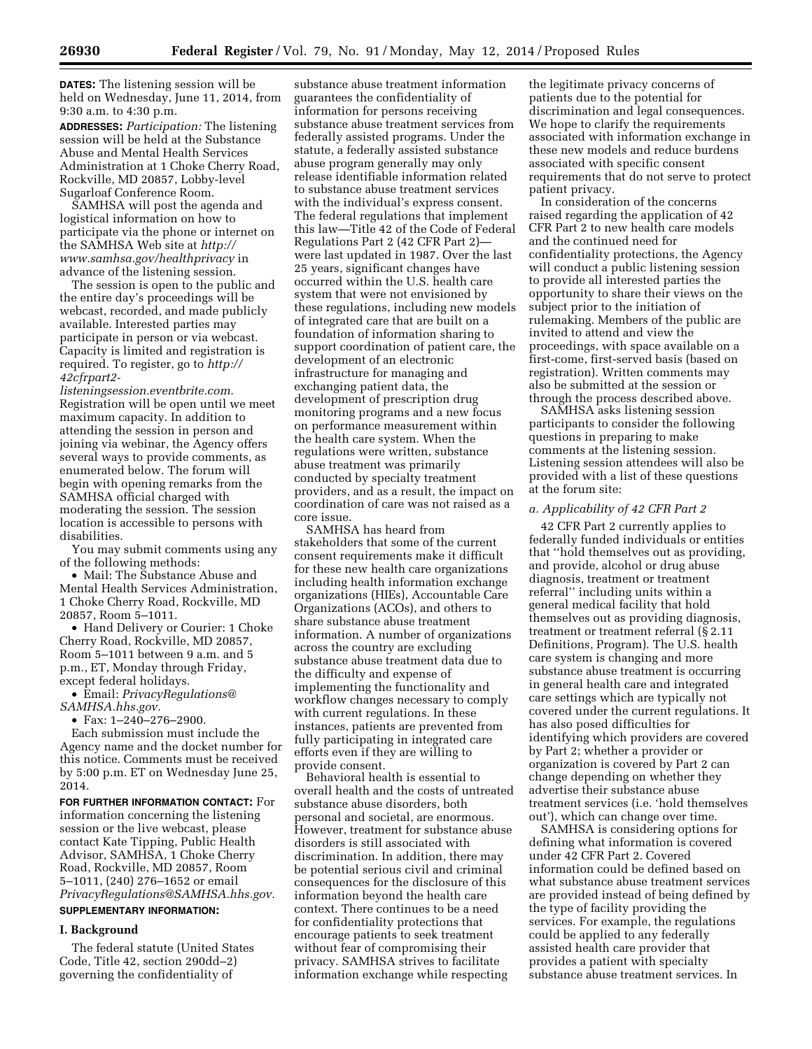**DATES:** The listening session will be held on Wednesday, June 11, 2014, from 9:30 a.m. to 4:30 p.m.

**ADDRESSES:** *Participation:* The listening session will be held at the Substance Abuse and Mental Health Services Administration at 1 Choke Cherry Road, Rockville, MD 20857, Lobby-level Sugarloaf Conference Room.

SAMHSA will post the agenda and logistical information on how to participate via the phone or internet on the SAMHSA Web site at *[http://](http://www.samhsa.gov/healthprivacy) [www.samhsa.gov/healthprivacy](http://www.samhsa.gov/healthprivacy)* in advance of the listening session.

The session is open to the public and the entire day's proceedings will be webcast, recorded, and made publicly available. Interested parties may participate in person or via webcast. Capacity is limited and registration is required. To register, go to *[http://](http://42cfrpart2-listeningsession.eventbrite.com) [42cfrpart2-](http://42cfrpart2-listeningsession.eventbrite.com)* 

*[listeningsession.eventbrite.com.](http://42cfrpart2-listeningsession.eventbrite.com)*  Registration will be open until we meet maximum capacity. In addition to attending the session in person and joining via webinar, the Agency offers several ways to provide comments, as enumerated below. The forum will begin with opening remarks from the SAMHSA official charged with moderating the session. The session location is accessible to persons with disabilities.

You may submit comments using any of the following methods:

• Mail: The Substance Abuse and Mental Health Services Administration, 1 Choke Cherry Road, Rockville, MD 20857, Room 5–1011.

• Hand Delivery or Courier: 1 Choke Cherry Road, Rockville, MD 20857, Room 5–1011 between 9 a.m. and 5 p.m., ET, Monday through Friday, except federal holidays.

• Email: *[PrivacyRegulations@](mailto:PrivacyRegulations@SAMHSA.hhs.gov) [SAMHSA.hhs.gov.](mailto:PrivacyRegulations@SAMHSA.hhs.gov)* 

• Fax: 1–240–276–2900.

Each submission must include the Agency name and the docket number for this notice. Comments must be received by 5:00 p.m. ET on Wednesday June 25, 2014.

**FOR FURTHER INFORMATION CONTACT:** For information concerning the listening session or the live webcast, please contact Kate Tipping, Public Health Advisor, SAMHSA, 1 Choke Cherry Road, Rockville, MD 20857, Room 5–1011, (240) 276–1652 or email *[PrivacyRegulations@SAMHSA.hhs.gov.](mailto:PrivacyRegulations@SAMHSA.hhs.gov)*  **SUPPLEMENTARY INFORMATION:** 

# **I. Background**

The federal statute (United States Code, Title 42, section 290dd–2) governing the confidentiality of

substance abuse treatment information guarantees the confidentiality of information for persons receiving substance abuse treatment services from federally assisted programs. Under the statute, a federally assisted substance abuse program generally may only release identifiable information related to substance abuse treatment services with the individual's express consent. The federal regulations that implement this law—Title 42 of the Code of Federal Regulations Part 2 (42 CFR Part 2) were last updated in 1987. Over the last 25 years, significant changes have occurred within the U.S. health care system that were not envisioned by these regulations, including new models of integrated care that are built on a foundation of information sharing to support coordination of patient care, the development of an electronic infrastructure for managing and exchanging patient data, the development of prescription drug monitoring programs and a new focus on performance measurement within the health care system. When the regulations were written, substance abuse treatment was primarily conducted by specialty treatment providers, and as a result, the impact on coordination of care was not raised as a core issue.

SAMHSA has heard from stakeholders that some of the current consent requirements make it difficult for these new health care organizations including health information exchange organizations (HIEs), Accountable Care Organizations (ACOs), and others to share substance abuse treatment information. A number of organizations across the country are excluding substance abuse treatment data due to the difficulty and expense of implementing the functionality and workflow changes necessary to comply with current regulations. In these instances, patients are prevented from fully participating in integrated care efforts even if they are willing to provide consent.

Behavioral health is essential to overall health and the costs of untreated substance abuse disorders, both personal and societal, are enormous. However, treatment for substance abuse disorders is still associated with discrimination. In addition, there may be potential serious civil and criminal consequences for the disclosure of this information beyond the health care context. There continues to be a need for confidentiality protections that encourage patients to seek treatment without fear of compromising their privacy. SAMHSA strives to facilitate information exchange while respecting

the legitimate privacy concerns of patients due to the potential for discrimination and legal consequences. We hope to clarify the requirements associated with information exchange in these new models and reduce burdens associated with specific consent requirements that do not serve to protect patient privacy.

In consideration of the concerns raised regarding the application of 42 CFR Part 2 to new health care models and the continued need for confidentiality protections, the Agency will conduct a public listening session to provide all interested parties the opportunity to share their views on the subject prior to the initiation of rulemaking. Members of the public are invited to attend and view the proceedings, with space available on a first-come, first-served basis (based on registration). Written comments may also be submitted at the session or through the process described above.

SAMHSA asks listening session participants to consider the following questions in preparing to make comments at the listening session. Listening session attendees will also be provided with a list of these questions at the forum site:

#### *a. Applicability of 42 CFR Part 2*

42 CFR Part 2 currently applies to federally funded individuals or entities that ''hold themselves out as providing, and provide, alcohol or drug abuse diagnosis, treatment or treatment referral'' including units within a general medical facility that hold themselves out as providing diagnosis, treatment or treatment referral (§ 2.11 Definitions, Program). The U.S. health care system is changing and more substance abuse treatment is occurring in general health care and integrated care settings which are typically not covered under the current regulations. It has also posed difficulties for identifying which providers are covered by Part 2; whether a provider or organization is covered by Part 2 can change depending on whether they advertise their substance abuse treatment services (i.e. 'hold themselves out'), which can change over time.

SAMHSA is considering options for defining what information is covered under 42 CFR Part 2. Covered information could be defined based on what substance abuse treatment services are provided instead of being defined by the type of facility providing the services. For example, the regulations could be applied to any federally assisted health care provider that provides a patient with specialty substance abuse treatment services. In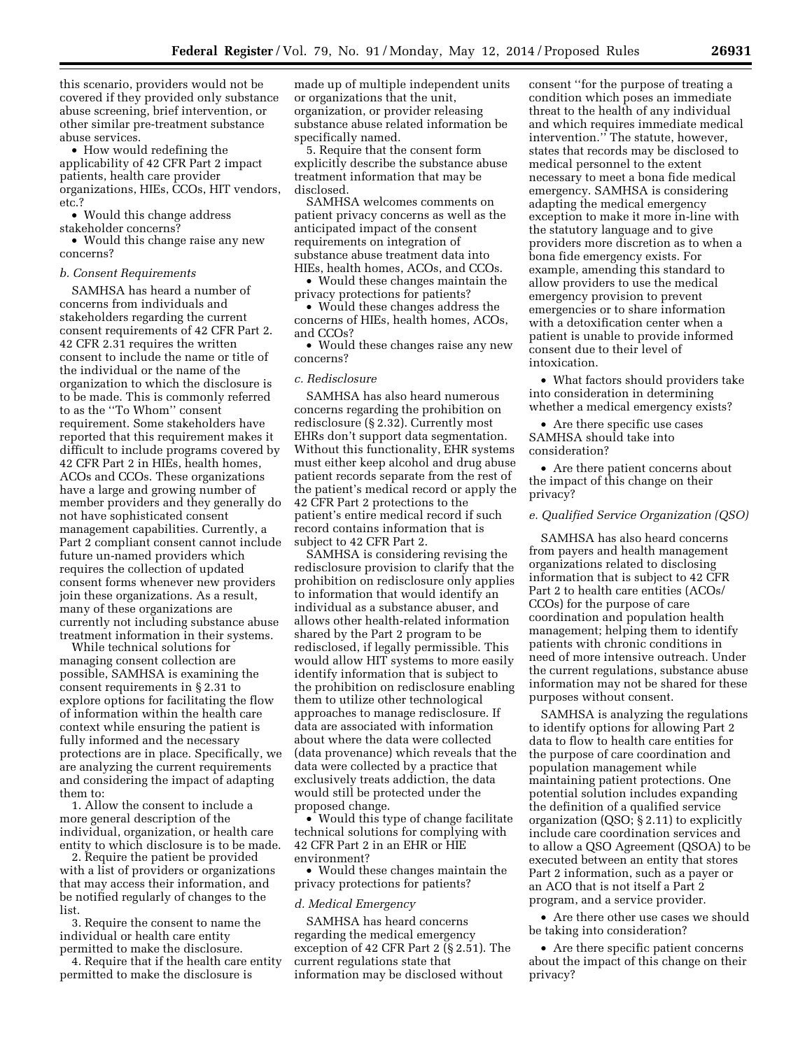this scenario, providers would not be covered if they provided only substance abuse screening, brief intervention, or other similar pre-treatment substance abuse services.

• How would redefining the applicability of 42 CFR Part 2 impact patients, health care provider organizations, HIEs, CCOs, HIT vendors, etc.?

• Would this change address stakeholder concerns?

• Would this change raise any new concerns?

## *b. Consent Requirements*

SAMHSA has heard a number of concerns from individuals and stakeholders regarding the current consent requirements of 42 CFR Part 2. 42 CFR 2.31 requires the written consent to include the name or title of the individual or the name of the organization to which the disclosure is to be made. This is commonly referred to as the ''To Whom'' consent requirement. Some stakeholders have reported that this requirement makes it difficult to include programs covered by 42 CFR Part 2 in HIEs, health homes, ACOs and CCOs. These organizations have a large and growing number of member providers and they generally do not have sophisticated consent management capabilities. Currently, a Part 2 compliant consent cannot include future un-named providers which requires the collection of updated consent forms whenever new providers join these organizations. As a result, many of these organizations are currently not including substance abuse treatment information in their systems.

While technical solutions for managing consent collection are possible, SAMHSA is examining the consent requirements in § 2.31 to explore options for facilitating the flow of information within the health care context while ensuring the patient is fully informed and the necessary protections are in place. Specifically, we are analyzing the current requirements and considering the impact of adapting them to:

1. Allow the consent to include a more general description of the individual, organization, or health care entity to which disclosure is to be made.

2. Require the patient be provided with a list of providers or organizations that may access their information, and be notified regularly of changes to the list.

3. Require the consent to name the individual or health care entity permitted to make the disclosure.

4. Require that if the health care entity permitted to make the disclosure is

made up of multiple independent units or organizations that the unit, organization, or provider releasing substance abuse related information be specifically named.

5. Require that the consent form explicitly describe the substance abuse treatment information that may be disclosed.

SAMHSA welcomes comments on patient privacy concerns as well as the anticipated impact of the consent requirements on integration of substance abuse treatment data into HIEs, health homes, ACOs, and CCOs.

• Would these changes maintain the privacy protections for patients?

• Would these changes address the concerns of HIEs, health homes, ACOs, and CCOs?

• Would these changes raise any new concerns?

## *c. Redisclosure*

SAMHSA has also heard numerous concerns regarding the prohibition on redisclosure (§ 2.32). Currently most EHRs don't support data segmentation. Without this functionality, EHR systems must either keep alcohol and drug abuse patient records separate from the rest of the patient's medical record or apply the 42 CFR Part 2 protections to the patient's entire medical record if such record contains information that is subject to 42 CFR Part 2.

SAMHSA is considering revising the redisclosure provision to clarify that the prohibition on redisclosure only applies to information that would identify an individual as a substance abuser, and allows other health-related information shared by the Part 2 program to be redisclosed, if legally permissible. This would allow HIT systems to more easily identify information that is subject to the prohibition on redisclosure enabling them to utilize other technological approaches to manage redisclosure. If data are associated with information about where the data were collected (data provenance) which reveals that the data were collected by a practice that exclusively treats addiction, the data would still be protected under the proposed change.

• Would this type of change facilitate technical solutions for complying with 42 CFR Part 2 in an EHR or HIE environment?

• Would these changes maintain the privacy protections for patients?

#### *d. Medical Emergency*

SAMHSA has heard concerns regarding the medical emergency exception of 42 CFR Part 2 (§ 2.51). The current regulations state that information may be disclosed without

consent ''for the purpose of treating a condition which poses an immediate threat to the health of any individual and which requires immediate medical intervention.'' The statute, however, states that records may be disclosed to medical personnel to the extent necessary to meet a bona fide medical emergency. SAMHSA is considering adapting the medical emergency exception to make it more in-line with the statutory language and to give providers more discretion as to when a bona fide emergency exists. For example, amending this standard to allow providers to use the medical emergency provision to prevent emergencies or to share information with a detoxification center when a patient is unable to provide informed consent due to their level of intoxication.

• What factors should providers take into consideration in determining whether a medical emergency exists?

• Are there specific use cases SAMHSA should take into consideration?

• Are there patient concerns about the impact of this change on their privacy?

#### *e. Qualified Service Organization (QSO)*

SAMHSA has also heard concerns from payers and health management organizations related to disclosing information that is subject to 42 CFR Part 2 to health care entities (ACOs/ CCOs) for the purpose of care coordination and population health management; helping them to identify patients with chronic conditions in need of more intensive outreach. Under the current regulations, substance abuse information may not be shared for these purposes without consent.

SAMHSA is analyzing the regulations to identify options for allowing Part 2 data to flow to health care entities for the purpose of care coordination and population management while maintaining patient protections. One potential solution includes expanding the definition of a qualified service organization (QSO; § 2.11) to explicitly include care coordination services and to allow a QSO Agreement (QSOA) to be executed between an entity that stores Part 2 information, such as a payer or an ACO that is not itself a Part 2 program, and a service provider.

• Are there other use cases we should be taking into consideration?

• Are there specific patient concerns about the impact of this change on their privacy?